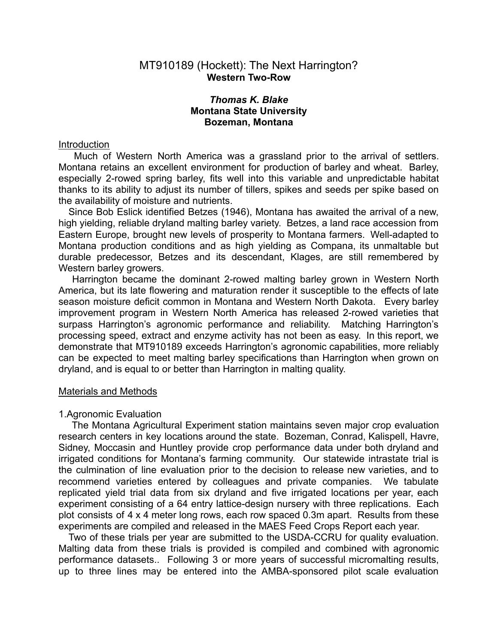## MT910189 (Hockett): The Next Harrington? **Western Two-Row**

# *Thomas K. Blake* **Montana State University Bozeman, Montana**

### Introduction

Much of Western North America was a grassland prior to the arrival of settlers. Montana retains an excellent environment for production of barley and wheat. Barley, especially 2-rowed spring barley, fits well into this variable and unpredictable habitat thanks to its ability to adjust its number of tillers, spikes and seeds per spike based on the availability of moisture and nutrients.

Since Bob Eslick identified Betzes (1946), Montana has awaited the arrival of a new, high yielding, reliable dryland malting barley variety. Betzes, a land race accession from Eastern Europe, brought new levels of prosperity to Montana farmers. Well-adapted to Montana production conditions and as high yielding as Compana, its unmaltable but durable predecessor, Betzes and its descendant, Klages, are still remembered by Western barley growers.

Harrington became the dominant 2-rowed malting barley grown in Western North America, but its late flowering and maturation render it susceptible to the effects of late season moisture deficit common in Montana and Western North Dakota. Every barley improvement program in Western North America has released 2-rowed varieties that surpass Harrington's agronomic performance and reliability. Matching Harrington's processing speed, extract and enzyme activity has not been as easy. In this report, we demonstrate that MT910189 exceeds Harrington's agronomic capabilities, more reliably can be expected to meet malting barley specifications than Harrington when grown on dryland, and is equal to or better than Harrington in malting quality.

#### Materials and Methods

### 1.Agronomic Evaluation

The Montana Agricultural Experiment station maintains seven major crop evaluation research centers in key locations around the state. Bozeman, Conrad, Kalispell, Havre, Sidney, Moccasin and Huntley provide crop performance data under both dryland and irrigated conditions for Montana's farming community. Our statewide intrastate trial is the culmination of line evaluation prior to the decision to release new varieties, and to recommend varieties entered by colleagues and private companies. We tabulate replicated yield trial data from six dryland and five irrigated locations per year, each experiment consisting of a 64 entry lattice-design nursery with three replications. Each plot consists of 4 x 4 meter long rows, each row spaced 0.3m apart. Results from these experiments are compiled and released in the MAES Feed Crops Report each year.

Two of these trials per year are submitted to the USDA-CCRU for quality evaluation. Malting data from these trials is provided is compiled and combined with agronomic performance datasets.. Following 3 or more years of successful micromalting results, up to three lines may be entered into the AMBA-sponsored pilot scale evaluation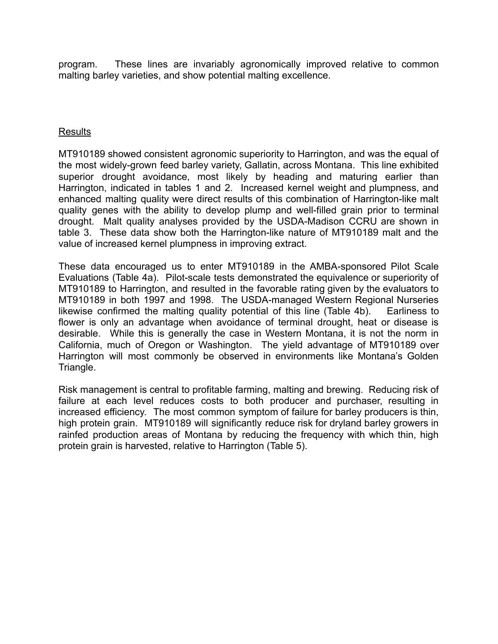program. These lines are invariably agronomically improved relative to common malting barley varieties, and show potential malting excellence.

# Results

MT910189 showed consistent agronomic superiority to Harrington, and was the equal of the most widely-grown feed barley variety, Gallatin, across Montana. This line exhibited superior drought avoidance, most likely by heading and maturing earlier than Harrington, indicated in tables 1 and 2. Increased kernel weight and plumpness, and enhanced malting quality were direct results of this combination of Harrington-like malt quality genes with the ability to develop plump and well-filled grain prior to terminal drought. Malt quality analyses provided by the USDA-Madison CCRU are shown in table 3. These data show both the Harrington-like nature of MT910189 malt and the value of increased kernel plumpness in improving extract.

These data encouraged us to enter MT910189 in the AMBA-sponsored Pilot Scale Evaluations (Table 4a). Pilot-scale tests demonstrated the equivalence or superiority of MT910189 to Harrington, and resulted in the favorable rating given by the evaluators to MT910189 in both 1997 and 1998. The USDA-managed Western Regional Nurseries likewise confirmed the malting quality potential of this line (Table 4b). Earliness to flower is only an advantage when avoidance of terminal drought, heat or disease is desirable. While this is generally the case in Western Montana, it is not the norm in California, much of Oregon or Washington. The yield advantage of MT910189 over Harrington will most commonly be observed in environments like Montana's Golden Triangle.

Risk management is central to profitable farming, malting and brewing. Reducing risk of failure at each level reduces costs to both producer and purchaser, resulting in increased efficiency. The most common symptom of failure for barley producers is thin, high protein grain. MT910189 will significantly reduce risk for dryland barley growers in rainfed production areas of Montana by reducing the frequency with which thin, high protein grain is harvested, relative to Harrington (Table 5).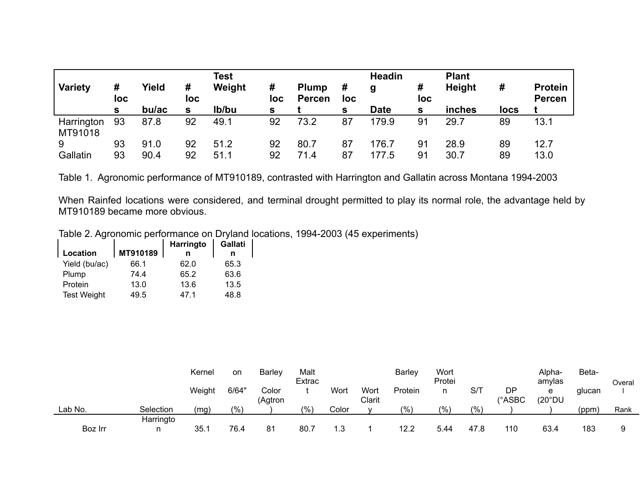| <b>Variety</b>        | #<br>loc<br>s. | Yield<br>bu/ac | #<br>loc<br>s | <b>Test</b><br>Weight<br>lb/bu | #<br>loc<br>s | <b>Plump</b><br><b>Percen</b> | #<br>loc<br>s | <b>Headin</b><br>g<br><b>Date</b> | #<br>loc<br>s | <b>Plant</b><br><b>Height</b><br>inches | #<br>locs | <b>Protein</b><br><b>Percen</b> |
|-----------------------|----------------|----------------|---------------|--------------------------------|---------------|-------------------------------|---------------|-----------------------------------|---------------|-----------------------------------------|-----------|---------------------------------|
| Harrington<br>MT91018 | 93             | 87.8           | 92            | 49.1                           | 92            | 73.2                          | 87            | 179.9                             | 91            | 29.7                                    | 89        | 13.1                            |
| 9<br>Gallatin         | 93<br>93       | 91.0<br>90.4   | 92<br>92      | 51.2<br>51.1                   | 92<br>92      | 80.7<br>71.4                  | 87<br>87      | 176.7<br>177.5                    | 91<br>91      | 28.9<br>30.7                            | 89<br>89  | 12.7<br>13.0                    |

Table 1. Agronomic performance of MT910189, contrasted with Harrington and Gallatin across Montana 1994-2003

When Rainfed locations were considered, and terminal drought permitted to play its normal role, the advantage held by MT910189 became more obvious.

Table 2. Agronomic performance on Dryland locations, 1994-2003 (45 experiments)

|                    |          | Harringto | Gallati |
|--------------------|----------|-----------|---------|
| Location           | MT910189 |           |         |
| Yield (bu/ac)      | 66.1     | 62.0      | 65.3    |
| Plump              | 74.4     | 65.2      | 63.6    |
| Protein            | 13.0     | 13.6      | 13.5    |
| <b>Test Weight</b> | 49.5     | 47 1      | 48.8    |

|         |           | Kernel | on    | <b>Barlev</b>    | Malt<br>Extrac |       |                | Barley  | Wort<br>Protei |      |              | Alpha-<br>amylas | Beta-  | Overal |
|---------|-----------|--------|-------|------------------|----------------|-------|----------------|---------|----------------|------|--------------|------------------|--------|--------|
|         |           | Weight | 6/64" | Color<br>(Agtron |                | Wort  | Wort<br>Clarit | Protein | n              | S/T  | DP<br>(°ASBC | e<br>(20°DU)     | glucan |        |
| Lab No. | Selection | (mg    | (9/0) |                  | (0/0)          | Color |                | (9/0)   | $(%^{n})$      | (%   |              |                  | (ppm)  | Rank   |
| Boz Irr | Harringto | 35.1   | 76.4  | 81               | 80.            |       |                | 12.2    | 5.44           | 47.8 | 110          | 63.4             | 183    |        |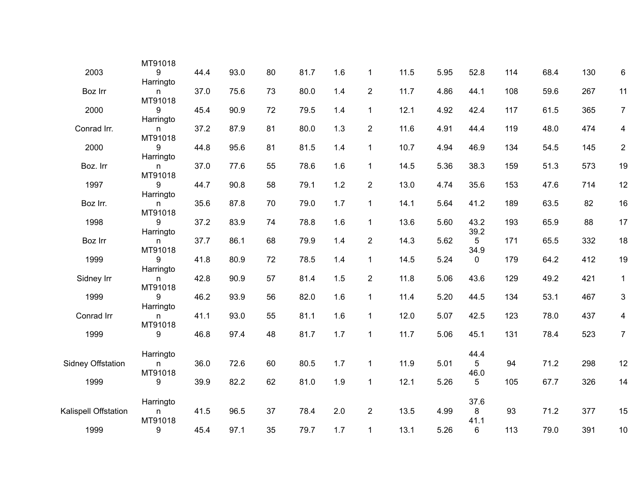|                      | MT91018                   |      |      |    |      |     |                |      |      |              |     |      |     |                |
|----------------------|---------------------------|------|------|----|------|-----|----------------|------|------|--------------|-----|------|-----|----------------|
| 2003                 | 9                         | 44.4 | 93.0 | 80 | 81.7 | 1.6 | $\mathbf{1}$   | 11.5 | 5.95 | 52.8         | 114 | 68.4 | 130 | $\,6\,$        |
| Boz Irr              | Harringto<br>n.           | 37.0 | 75.6 | 73 | 80.0 | 1.4 | $\overline{2}$ | 11.7 | 4.86 | 44.1         | 108 | 59.6 | 267 | 11             |
| 2000                 | MT91018<br>9              | 45.4 | 90.9 | 72 | 79.5 | 1.4 | $\mathbf{1}$   | 12.1 | 4.92 | 42.4         | 117 | 61.5 | 365 | $\overline{7}$ |
| Conrad Irr.          | Harringto<br>n<br>MT91018 | 37.2 | 87.9 | 81 | 80.0 | 1.3 | $\overline{2}$ | 11.6 | 4.91 | 44.4         | 119 | 48.0 | 474 | 4              |
| 2000                 | 9<br>Harringto            | 44.8 | 95.6 | 81 | 81.5 | 1.4 | 1              | 10.7 | 4.94 | 46.9         | 134 | 54.5 | 145 | $\overline{2}$ |
| Boz. Irr             | n<br>MT91018              | 37.0 | 77.6 | 55 | 78.6 | 1.6 | 1              | 14.5 | 5.36 | 38.3         | 159 | 51.3 | 573 | 19             |
| 1997                 | 9<br>Harringto            | 44.7 | 90.8 | 58 | 79.1 | 1.2 | $\overline{2}$ | 13.0 | 4.74 | 35.6         | 153 | 47.6 | 714 | 12             |
| Boz Irr.             | n<br>MT91018              | 35.6 | 87.8 | 70 | 79.0 | 1.7 | $\mathbf{1}$   | 14.1 | 5.64 | 41.2         | 189 | 63.5 | 82  | 16             |
| 1998                 | 9<br>Harringto            | 37.2 | 83.9 | 74 | 78.8 | 1.6 | $\mathbf{1}$   | 13.6 | 5.60 | 43.2<br>39.2 | 193 | 65.9 | 88  | 17             |
| Boz Irr              | n<br>MT91018              | 37.7 | 86.1 | 68 | 79.9 | 1.4 | $\overline{2}$ | 14.3 | 5.62 | 5<br>34.9    | 171 | 65.5 | 332 | 18             |
| 1999                 | 9<br>Harringto            | 41.8 | 80.9 | 72 | 78.5 | 1.4 | 1              | 14.5 | 5.24 | 0            | 179 | 64.2 | 412 | 19             |
| Sidney Irr           | n<br>MT91018              | 42.8 | 90.9 | 57 | 81.4 | 1.5 | $\overline{2}$ | 11.8 | 5.06 | 43.6         | 129 | 49.2 | 421 | $\mathbf{1}$   |
| 1999                 | 9<br>Harringto            | 46.2 | 93.9 | 56 | 82.0 | 1.6 | 1              | 11.4 | 5.20 | 44.5         | 134 | 53.1 | 467 | 3              |
| Conrad Irr           | n<br>MT91018              | 41.1 | 93.0 | 55 | 81.1 | 1.6 | $\mathbf{1}$   | 12.0 | 5.07 | 42.5         | 123 | 78.0 | 437 | 4              |
| 1999                 | 9                         | 46.8 | 97.4 | 48 | 81.7 | 1.7 | 1              | 11.7 | 5.06 | 45.1         | 131 | 78.4 | 523 | $\overline{7}$ |
| Sidney Offstation    | Harringto<br>n.           | 36.0 | 72.6 | 60 | 80.5 | 1.7 | $\mathbf{1}$   | 11.9 | 5.01 | 44.4<br>5    | 94  | 71.2 | 298 | 12             |
| 1999                 | MT91018<br>9              | 39.9 | 82.2 | 62 | 81.0 | 1.9 | $\mathbf{1}$   | 12.1 | 5.26 | 46.0<br>5    | 105 | 67.7 | 326 | 14             |
|                      | Harringto                 |      |      |    |      |     |                |      |      | 37.6         |     |      |     |                |
| Kalispell Offstation | n<br>MT91018              | 41.5 | 96.5 | 37 | 78.4 | 2.0 | $\overline{2}$ | 13.5 | 4.99 | 8<br>41.1    | 93  | 71.2 | 377 | 15             |
| 1999                 | 9                         | 45.4 | 97.1 | 35 | 79.7 | 1.7 | $\mathbf{1}$   | 13.1 | 5.26 | 6            | 113 | 79.0 | 391 | $10$           |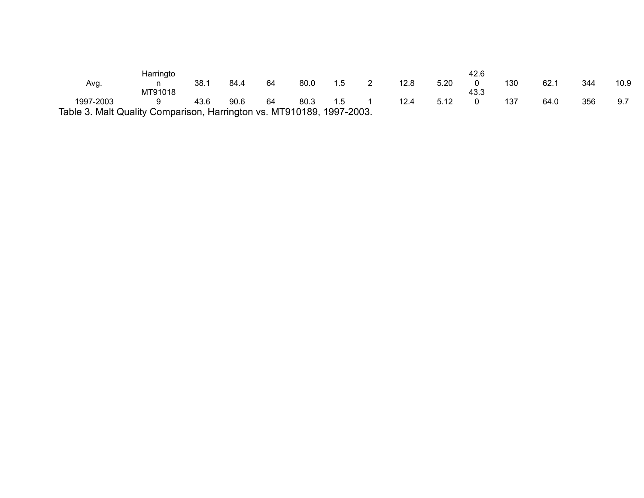|                                                                       | Harringto |      |      |    |      |     |   |      |      | 42.6 |     |      |     |      |
|-----------------------------------------------------------------------|-----------|------|------|----|------|-----|---|------|------|------|-----|------|-----|------|
| Avg.                                                                  |           | 38.1 | 84.4 | 64 | 80.0 | 1.5 | - | 12.8 | 5.20 |      | 130 | 62.1 | 344 | 10.9 |
|                                                                       | MT91018   |      |      |    |      |     |   |      |      | 43.3 |     |      |     |      |
| 1997-2003                                                             |           | 43.6 | 90.6 | 64 | 80.3 | 1.5 |   | 12.4 | 5.12 |      | 137 | 64.0 | 356 | 9.7  |
| Table 3. Malt Quality Comparison, Harrington vs. MT910189, 1997-2003. |           |      |      |    |      |     |   |      |      |      |     |      |     |      |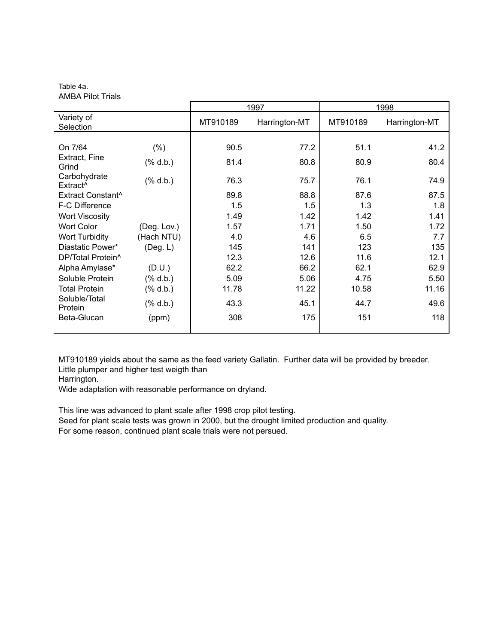Table 4a. AMBA Pilot Trials

|                                      |                                                                                                |          | 1997          |          | 1998          |
|--------------------------------------|------------------------------------------------------------------------------------------------|----------|---------------|----------|---------------|
| Variety of<br>Selection              |                                                                                                | MT910189 | Harrington-MT | MT910189 | Harrington-MT |
|                                      |                                                                                                |          |               |          |               |
| On 7/64                              | $(\% )$                                                                                        | 90.5     | 77.2          | 51.1     | 41.2          |
| Extract, Fine<br>Grind               | $(% \mathcal{L}^2)$ d.b.)                                                                      | 81.4     | 80.8          | 80.9     | 80.4          |
| Carbohydrate<br>Extract <sup>^</sup> | $(% \mathbf{A})$ $\mathbf{A}$ $\mathbf{A}$ $\mathbf{A}$ $\mathbf{A}$ $\mathbf{A}$ $\mathbf{A}$ | 76.3     | 75.7          | 76.1     | 74.9          |
| Extract Constant^                    |                                                                                                | 89.8     | 88.8          | 87.6     | 87.5          |
| F-C Difference                       |                                                                                                | 1.5      | 1.5           | 1.3      | 1.8           |
| <b>Wort Viscosity</b>                |                                                                                                | 1.49     | 1.42          | 1.42     | 1.41          |
| <b>Wort Color</b>                    | (Deg. Lov.)                                                                                    | 1.57     | 1.71          | 1.50     | 1.72          |
| <b>Wort Turbidity</b>                | (Hach NTU)                                                                                     | 4.0      | 4.6           | 6.5      | 7.7           |
| Diastatic Power*                     | (Deg. L)                                                                                       | 145      | 141           | 123      | 135           |
| DP/Total Protein <sup>^</sup>        |                                                                                                | 12.3     | 12.6          | 11.6     | 12.1          |
| Alpha Amylase*                       | (D.U.)                                                                                         | 62.2     | 66.2          | 62.1     | 62.9          |
| Soluble Protein                      | (% 0, 0, 0)                                                                                    | 5.09     | 5.06          | 4.75     | 5.50          |
| <b>Total Protein</b>                 | (% 0, 0, 0)                                                                                    | 11.78    | 11.22         | 10.58    | 11.16         |
| Soluble/Total<br><b>Protein</b>      | $(% \mathcal{L}_{0}^{\infty}$ d.b.)                                                            | 43.3     | 45.1          | 44.7     | 49.6          |
| Beta-Glucan                          | (ppm)                                                                                          | 308      | 175           | 151      | 118           |

MT910189 yields about the same as the feed variety Gallatin. Further data will be provided by breeder. Little plumper and higher test weigth than

Harrington.

Wide adaptation with reasonable performance on dryland.

This line was advanced to plant scale after 1998 crop pilot testing.

Seed for plant scale tests was grown in 2000, but the drought limited production and quality. For some reason, continued plant scale trials were not persued.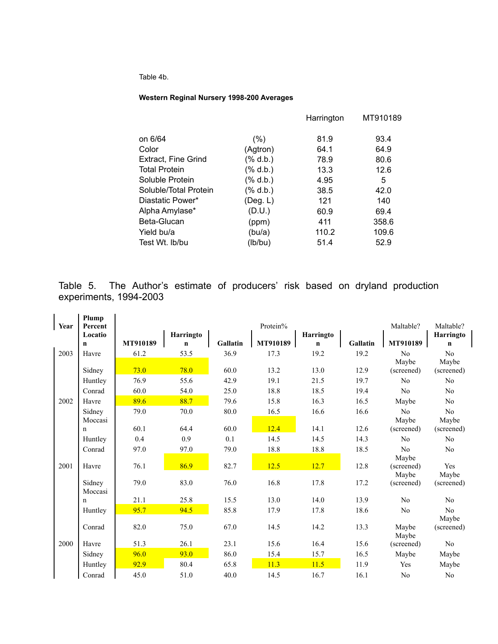Table 4b.

#### **Western Reginal Nursery 1998-200 Averages**

|                       |                | Harrington | MT910189 |
|-----------------------|----------------|------------|----------|
| on 6/64               | (%)            | 81.9       | 93.4     |
| Color                 | (Agtron)       | 64.1       | 64.9     |
| Extract, Fine Grind   | (% 0, 0, 0)    | 78.9       | 80.6     |
| <b>Total Protein</b>  | (% 0, 0, 0)    | 13.3       | 12.6     |
| Soluble Protein       | $(\%$ d.b.)    | 4.95       | 5        |
| Soluble/Total Protein | (% 0, 0, 0)    | 38.5       | 42.0     |
| Diastatic Power*      | $($ Deg. L $)$ | 121        | 140      |
| Alpha Amylase*        | (D.U.)         | 60.9       | 69.4     |
| Beta-Glucan           | (ppm)          | 411        | 358.6    |
| Yield bu/a            | (bu/a)         | 110.2      | 109.6    |
| Test Wt. Ib/bu        | (lb/bu)        | 51.4       | 52.9     |
|                       |                |            |          |

Table 5. The Author's estimate of producers' risk based on dryland production experiments, 1994-2003

| Year | Plump<br>Percent  |          |             |          | Protein% |             |                 | Maltable?               | Maltable?      |
|------|-------------------|----------|-------------|----------|----------|-------------|-----------------|-------------------------|----------------|
|      | Locatio           |          | Harringto   |          |          | Harringto   |                 |                         | Harringto      |
|      | $\mathbf n$       | MT910189 | $\mathbf n$ | Gallatin | MT910189 | $\mathbf n$ | <b>Gallatin</b> | MT910189                | n              |
| 2003 | Havre             | 61.2     | 53.5        | 36.9     | 17.3     | 19.2        | 19.2            | N <sub>o</sub><br>Maybe | No<br>Maybe    |
|      | Sidney            | 73.0     | 78.0        | 60.0     | 13.2     | 13.0        | 12.9            | (screened)              | (screened)     |
|      | Huntley           | 76.9     | 55.6        | 42.9     | 19.1     | 21.5        | 19.7            | N <sub>0</sub>          | No             |
|      | Conrad            | 60.0     | 54.0        | 25.0     | 18.8     | 18.5        | 19.4            | N <sub>0</sub>          | No             |
| 2002 | Havre             | 89.6     | 88.7        | 79.6     | 15.8     | 16.3        | 16.5            | Maybe                   | No             |
|      | Sidney<br>Moccasi | 79.0     | 70.0        | 80.0     | 16.5     | 16.6        | 16.6            | No<br>Maybe             | No<br>Maybe    |
|      | n                 | 60.1     | 64.4        | 60.0     | 12.4     | 14.1        | 12.6            | (screened)              | (screened)     |
|      | Huntley           | 0.4      | 0.9         | 0.1      | 14.5     | 14.5        | 14.3            | N <sub>0</sub>          | No             |
|      | Conrad            | 97.0     | 97.0        | 79.0     | 18.8     | 18.8        | 18.5            | No<br>Maybe             | N <sub>0</sub> |
| 2001 | Havre             | 76.1     | 86.9        | 82.7     | 12.5     | 12.7        | 12.8            | (screened)<br>Maybe     | Yes<br>Maybe   |
|      | Sidney<br>Moccasi | 79.0     | 83.0        | 76.0     | 16.8     | 17.8        | 17.2            | (screened)              | (screened)     |
|      | $\mathbf n$       | 21.1     | 25.8        | 15.5     | 13.0     | 14.0        | 13.9            | N <sub>0</sub>          | No             |
|      | Huntley           | 95.7     | 94.5        | 85.8     | 17.9     | 17.8        | 18.6            | N <sub>0</sub>          | No<br>Maybe    |
|      | Conrad            | 82.0     | 75.0        | 67.0     | 14.5     | 14.2        | 13.3            | Maybe<br>Maybe          | (screened)     |
| 2000 | Havre             | 51.3     | 26.1        | 23.1     | 15.6     | 16.4        | 15.6            | (screened)              | No             |
|      | Sidney            | 96.0     | 93.0        | 86.0     | 15.4     | 15.7        | 16.5            | Maybe                   | Maybe          |
|      | Huntley           | 92.9     | 80.4        | 65.8     | 11.3     | 11.5        | 11.9            | Yes                     | Maybe          |
|      | Conrad            | 45.0     | 51.0        | 40.0     | 14.5     | 16.7        | 16.1            | N <sub>0</sub>          | N <sub>0</sub> |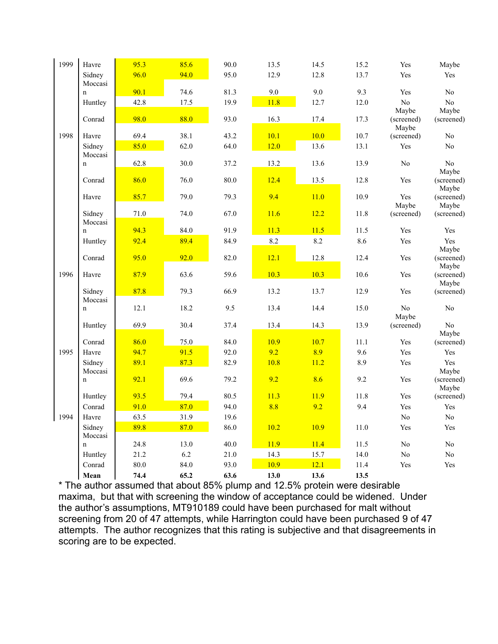| 1999 | Havre                  | 95.3 | 85.6 | 90.0 | 13.5 | 14.5 | 15.2 | Yes                 | Maybe               |
|------|------------------------|------|------|------|------|------|------|---------------------|---------------------|
|      | Sidney                 | 96.0 | 94.0 | 95.0 | 12.9 | 12.8 | 13.7 | Yes                 | Yes                 |
|      | Moccasi                |      |      |      |      |      |      |                     |                     |
|      | $\mathbf n$            | 90.1 | 74.6 | 81.3 | 9.0  | 9.0  | 9.3  | Yes                 | N <sub>0</sub>      |
|      | Huntley                | 42.8 | 17.5 | 19.9 | 11.8 | 12.7 | 12.0 | No<br>Maybe         | No<br>Maybe         |
|      | Conrad                 | 98.0 | 88.0 | 93.0 | 16.3 | 17.4 | 17.3 | (screened)<br>Maybe | (screened)          |
| 1998 | Havre                  | 69.4 | 38.1 | 43.2 | 10.1 | 10.0 | 10.7 | (screened)          | N <sub>0</sub>      |
|      | Sidney                 | 85.0 | 62.0 | 64.0 | 12.0 | 13.6 | 13.1 | Yes                 | N <sub>0</sub>      |
|      | Moccasi                |      |      |      |      |      |      |                     |                     |
|      | $\mathbf n$            | 62.8 | 30.0 | 37.2 | 13.2 | 13.6 | 13.9 | N <sub>0</sub>      | No                  |
|      | Conrad                 | 86.0 | 76.0 | 80.0 | 12.4 | 13.5 | 12.8 | Yes                 | Maybe<br>(screened) |
|      |                        |      |      |      |      |      |      |                     | Maybe               |
|      | Havre                  | 85.7 | 79.0 | 79.3 | 9.4  | 11.0 | 10.9 | Yes                 | (screened)          |
|      |                        |      |      |      |      |      |      | Maybe               | Maybe               |
|      | Sidney                 | 71.0 | 74.0 | 67.0 | 11.6 | 12.2 | 11.8 | (screened)          | (screened)          |
|      | Moccasi<br>$\mathbf n$ | 94.3 | 84.0 | 91.9 | 11.3 | 11.5 | 11.5 | Yes                 | Yes                 |
|      | Huntley                | 92.4 | 89.4 | 84.9 | 8.2  | 8.2  | 8.6  | Yes                 | Yes                 |
|      |                        |      |      |      |      |      |      |                     | Maybe               |
|      | Conrad                 | 95.0 | 92.0 | 82.0 | 12.1 | 12.8 | 12.4 | Yes                 | (screened)          |
| 1996 |                        | 87.9 |      | 59.6 | 10.3 | 10.3 | 10.6 |                     | Maybe               |
|      | Havre                  |      | 63.6 |      |      |      |      | Yes                 | (screened)<br>Maybe |
|      | Sidney                 | 87.8 | 79.3 | 66.9 | 13.2 | 13.7 | 12.9 | Yes                 | (screened)          |
|      | Moccasi                |      |      |      |      |      |      |                     |                     |
|      | $\mathbf n$            | 12.1 | 18.2 | 9.5  | 13.4 | 14.4 | 15.0 | No                  | N <sub>o</sub>      |
|      | Huntley                | 69.9 | 30.4 | 37.4 | 13.4 | 14.3 | 13.9 | Maybe<br>(screened) | N <sub>o</sub>      |
|      |                        |      |      |      |      |      |      |                     | Maybe               |
|      | Conrad                 | 86.0 | 75.0 | 84.0 | 10.9 | 10.7 | 11.1 | Yes                 | (screened)          |
| 1995 | Havre                  | 94.7 | 91.5 | 92.0 | 9.2  | 8.9  | 9.6  | Yes                 | Yes                 |
|      | Sidney                 | 89.1 | 87.3 | 82.9 | 10.8 | 11.2 | 8.9  | Yes                 | Yes                 |
|      | Moccasi                |      |      |      |      |      |      |                     | Maybe               |
|      | $\mathbf n$            | 92.1 | 69.6 | 79.2 | 9.2  | 8.6  | 9.2  | Yes                 | (screened)<br>Maybe |
|      | Huntley                | 93.5 | 79.4 | 80.5 | 11.3 | 11.9 | 11.8 | Yes                 | (screened)          |
|      | Conrad                 | 91.0 | 87.0 | 94.0 | 8.8  | 9.2  | 9.4  | Yes                 | Yes                 |
| 1994 | Havre                  | 63.5 | 31.9 | 19.6 |      |      |      | N <sub>0</sub>      | No                  |
|      | Sidney                 | 89.8 | 87.0 | 86.0 | 10.2 | 10.9 | 11.0 | Yes                 | Yes                 |
|      | Moccasi                |      |      |      |      |      |      |                     |                     |
|      | $\mathbf n$            | 24.8 | 13.0 | 40.0 | 11.9 | 11.4 | 11.5 | N <sub>0</sub>      | N <sub>o</sub>      |
|      | Huntley                | 21.2 | 6.2  | 21.0 | 14.3 | 15.7 | 14.0 | No                  | $\rm No$            |
|      | Conrad                 | 80.0 | 84.0 | 93.0 | 10.9 | 12.1 | 11.4 | Yes                 | Yes                 |
|      | Mean                   | 74.4 | 65.2 | 63.6 | 13.0 | 13.6 | 13.5 |                     |                     |

\* The author assumed that about 85% plump and 12.5% protein were desirable maxima, but that with screening the window of acceptance could be widened. Under the author's assumptions, MT910189 could have been purchased for malt without screening from 20 of 47 attempts, while Harrington could have been purchased 9 of 47 attempts. The author recognizes that this rating is subjective and that disagreements in scoring are to be expected.